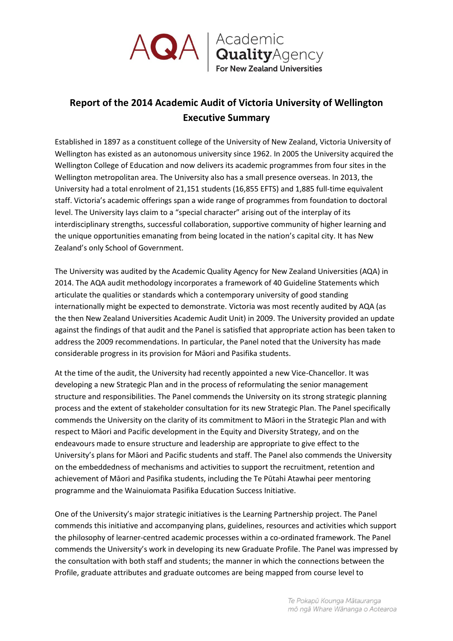

## **Report of the 2014 Academic Audit of Victoria University of Wellington Executive Summary**

Established in 1897 as a constituent college of the University of New Zealand, Victoria University of Wellington has existed as an autonomous university since 1962. In 2005 the University acquired the Wellington College of Education and now delivers its academic programmes from four sites in the Wellington metropolitan area. The University also has a small presence overseas. In 2013, the University had a total enrolment of 21,151 students (16,855 EFTS) and 1,885 full-time equivalent staff. Victoria's academic offerings span a wide range of programmes from foundation to doctoral level. The University lays claim to a "special character" arising out of the interplay of its interdisciplinary strengths, successful collaboration, supportive community of higher learning and the unique opportunities emanating from being located in the nation's capital city. It has New Zealand's only School of Government.

The University was audited by the Academic Quality Agency for New Zealand Universities (AQA) in 2014. The AQA audit methodology incorporates a framework of 40 Guideline Statements which articulate the qualities or standards which a contemporary university of good standing internationally might be expected to demonstrate. Victoria was most recently audited by AQA (as the then New Zealand Universities Academic Audit Unit) in 2009. The University provided an update against the findings of that audit and the Panel is satisfied that appropriate action has been taken to address the 2009 recommendations. In particular, the Panel noted that the University has made considerable progress in its provision for Māori and Pasifika students.

At the time of the audit, the University had recently appointed a new Vice-Chancellor. It was developing a new Strategic Plan and in the process of reformulating the senior management structure and responsibilities. The Panel commends the University on its strong strategic planning process and the extent of stakeholder consultation for its new Strategic Plan. The Panel specifically commends the University on the clarity of its commitment to Māori in the Strategic Plan and with respect to Māori and Pacific development in the Equity and Diversity Strategy, and on the endeavours made to ensure structure and leadership are appropriate to give effect to the University's plans for Māori and Pacific students and staff. The Panel also commends the University on the embeddedness of mechanisms and activities to support the recruitment, retention and achievement of Māori and Pasifika students, including the Te Pūtahi Atawhai peer mentoring programme and the Wainuiomata Pasifika Education Success Initiative.

One of the University's major strategic initiatives is the Learning Partnership project. The Panel commends this initiative and accompanying plans, guidelines, resources and activities which support the philosophy of learner-centred academic processes within a co-ordinated framework. The Panel commends the University's work in developing its new Graduate Profile. The Panel was impressed by the consultation with both staff and students; the manner in which the connections between the Profile, graduate attributes and graduate outcomes are being mapped from course level to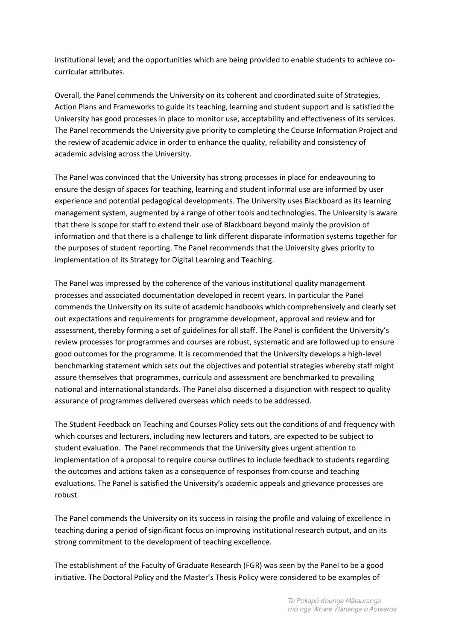institutional level; and the opportunities which are being provided to enable students to achieve cocurricular attributes.

Overall, the Panel commends the University on its coherent and coordinated suite of Strategies, Action Plans and Frameworks to guide its teaching, learning and student support and is satisfied the University has good processes in place to monitor use, acceptability and effectiveness of its services. The Panel recommends the University give priority to completing the Course Information Project and the review of academic advice in order to enhance the quality, reliability and consistency of academic advising across the University.

The Panel was convinced that the University has strong processes in place for endeavouring to ensure the design of spaces for teaching, learning and student informal use are informed by user experience and potential pedagogical developments. The University uses Blackboard as its learning management system, augmented by a range of other tools and technologies. The University is aware that there is scope for staff to extend their use of Blackboard beyond mainly the provision of information and that there is a challenge to link different disparate information systems together for the purposes of student reporting. The Panel recommends that the University gives priority to implementation of its Strategy for Digital Learning and Teaching.

The Panel was impressed by the coherence of the various institutional quality management processes and associated documentation developed in recent years. In particular the Panel commends the University on its suite of academic handbooks which comprehensively and clearly set out expectations and requirements for programme development, approval and review and for assessment, thereby forming a set of guidelines for all staff. The Panel is confident the University's review processes for programmes and courses are robust, systematic and are followed up to ensure good outcomes for the programme. It is recommended that the University develops a high-level benchmarking statement which sets out the objectives and potential strategies whereby staff might assure themselves that programmes, curricula and assessment are benchmarked to prevailing national and international standards. The Panel also discerned a disjunction with respect to quality assurance of programmes delivered overseas which needs to be addressed.

The Student Feedback on Teaching and Courses Policy sets out the conditions of and frequency with which courses and lecturers, including new lecturers and tutors, are expected to be subject to student evaluation. The Panel recommends that the University gives urgent attention to implementation of a proposal to require course outlines to include feedback to students regarding the outcomes and actions taken as a consequence of responses from course and teaching evaluations. The Panel is satisfied the University's academic appeals and grievance processes are robust.

The Panel commends the University on its success in raising the profile and valuing of excellence in teaching during a period of significant focus on improving institutional research output, and on its strong commitment to the development of teaching excellence.

The establishment of the Faculty of Graduate Research (FGR) was seen by the Panel to be a good initiative. The Doctoral Policy and the Master's Thesis Policy were considered to be examples of